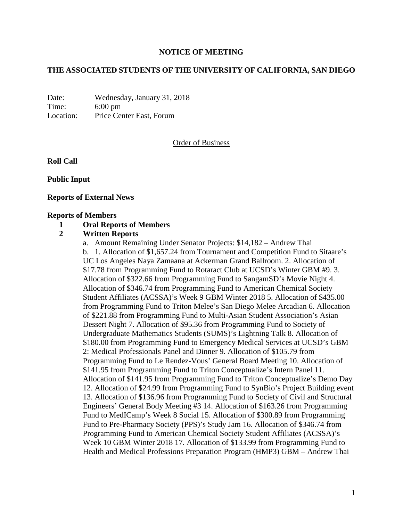### **NOTICE OF MEETING**

### **THE ASSOCIATED STUDENTS OF THE UNIVERSITY OF CALIFORNIA, SAN DIEGO**

Date: Wednesday, January 31, 2018 Time: 6:00 pm Location: Price Center East, Forum

### Order of Business

**Roll Call**

**Public Input**

### **Reports of External News**

#### **Reports of Members**

#### **1 Oral Reports of Members**

### **2 Written Reports**

a. Amount Remaining Under Senator Projects: \$14,182 – Andrew Thai b. 1. Allocation of \$1,657.24 from Tournament and Competition Fund to Sitaare's UC Los Angeles Naya Zamaana at Ackerman Grand Ballroom. 2. Allocation of \$17.78 from Programming Fund to Rotaract Club at UCSD's Winter GBM #9. 3. Allocation of \$322.66 from Programming Fund to SangamSD's Movie Night 4. Allocation of \$346.74 from Programming Fund to American Chemical Society Student Affiliates (ACSSA)'s Week 9 GBM Winter 2018 5. Allocation of \$435.00 from Programming Fund to Triton Melee's San Diego Melee Arcadian 6. Allocation of \$221.88 from Programming Fund to Multi-Asian Student Association's Asian Dessert Night 7. Allocation of \$95.36 from Programming Fund to Society of Undergraduate Mathematics Students (SUMS)'s Lightning Talk 8. Allocation of \$180.00 from Programming Fund to Emergency Medical Services at UCSD's GBM 2: Medical Professionals Panel and Dinner 9. Allocation of \$105.79 from Programming Fund to Le Rendez-Vous' General Board Meeting 10. Allocation of \$141.95 from Programming Fund to Triton Conceptualize's Intern Panel 11. Allocation of \$141.95 from Programming Fund to Triton Conceptualize's Demo Day 12. Allocation of \$24.99 from Programming Fund to SynBio's Project Building event 13. Allocation of \$136.96 from Programming Fund to Society of Civil and Structural Engineers' General Body Meeting #3 14. Allocation of \$163.26 from Programming Fund to MedICamp's Week 8 Social 15. Allocation of \$300.89 from Programming Fund to Pre-Pharmacy Society (PPS)'s Study Jam 16. Allocation of \$346.74 from Programming Fund to American Chemical Society Student Affiliates (ACSSA)'s Week 10 GBM Winter 2018 17. Allocation of \$133.99 from Programming Fund to Health and Medical Professions Preparation Program (HMP3) GBM – Andrew Thai